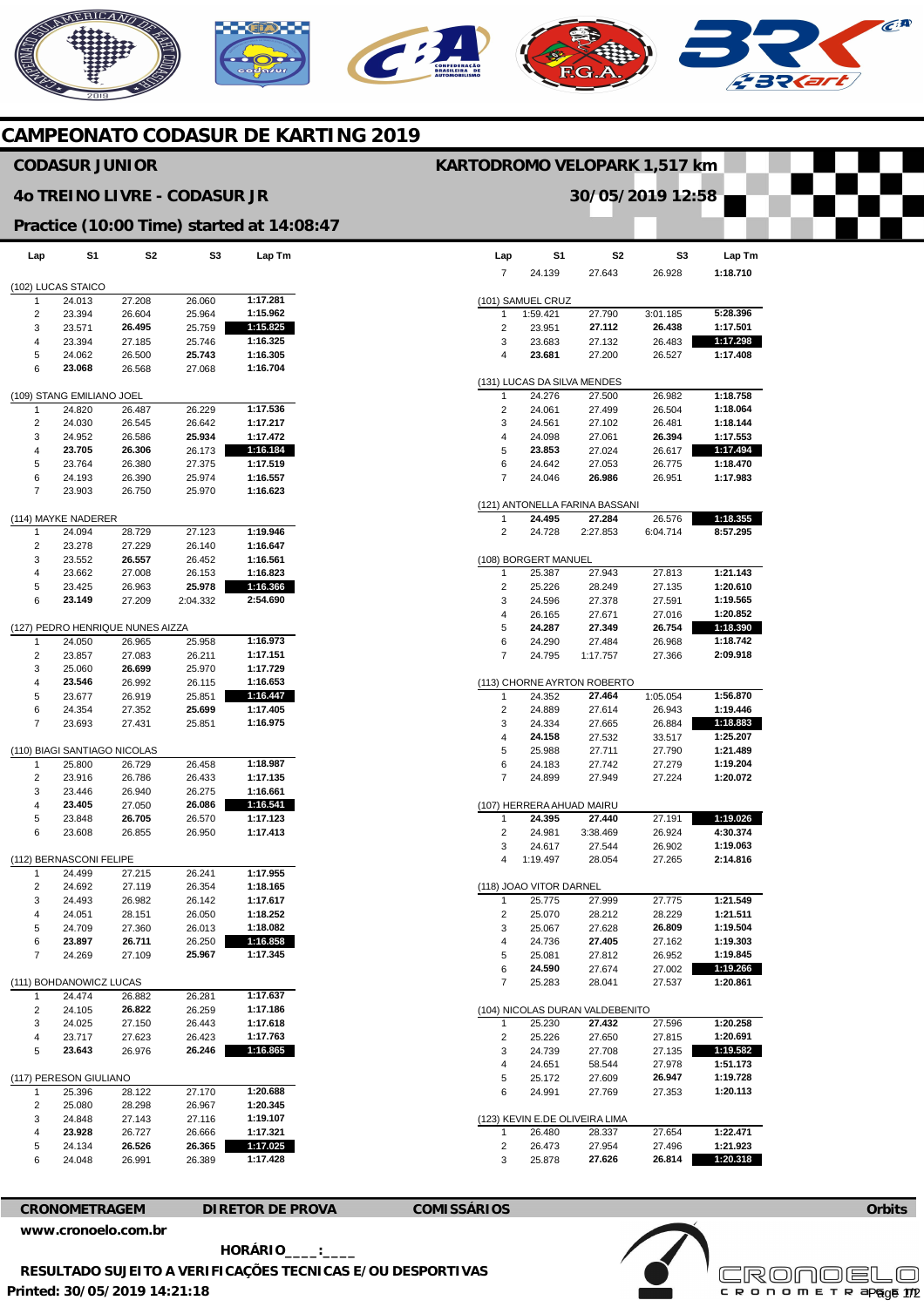# NERICANO  $\widehat{C}^{A}$  $\mathbf{C}$

## **CAMPEONATO CODASUR DE KARTING 2019**

### **CODASUR JUNIOR**

#### **4o TREINO LIVRE - CODASUR JR**

### **Practice (10:00 Time) started at 14:08:47**

| Lap                     | S1                           | S2                               | S3               | Lap Tm               |  |
|-------------------------|------------------------------|----------------------------------|------------------|----------------------|--|
|                         |                              |                                  |                  |                      |  |
|                         | (102) LUCAS STAICO           |                                  |                  |                      |  |
| 1                       | 24.013                       | 27.208                           | 26.060           | 1:17.281             |  |
| 2                       | 23.394                       | 26.604                           | 25.964           | 1:15.962             |  |
| 3                       | 23.571                       | 26.495                           | 25.759           | 1:15.825             |  |
| 4<br>5                  | 23.394<br>24.062             | 27.185<br>26.500                 | 25.746<br>25.743 | 1:16.325<br>1:16.305 |  |
| 6                       | 23.068                       | 26.568                           | 27.068           | 1:16.704             |  |
|                         |                              |                                  |                  |                      |  |
|                         | (109) STANG EMILIANO JOEL    |                                  |                  |                      |  |
| 1                       | 24.820                       | 26.487                           | 26.229           | 1:17.536             |  |
| 2                       | 24.030                       | 26.545                           | 26.642           | 1:17.217             |  |
| 3                       | 24.952                       | 26.586                           | 25.934           | 1:17.472             |  |
| 4                       | 23.705                       | 26.306                           | 26.173           | 1:16.184             |  |
| 5                       | 23.764                       | 26.380                           | 27.375           | 1:17.519             |  |
| 6                       | 24.193                       | 26.390                           | 25.974           | 1:16.557             |  |
| 7                       | 23.903                       | 26.750                           | 25.970           | 1:16.623             |  |
|                         | (114) MAYKE NADERER          |                                  |                  |                      |  |
| 1                       | 24.094                       | 28.729                           | 27.123           | 1:19.946             |  |
| 2                       | 23.278                       | 27.229                           | 26.140           | 1:16.647             |  |
| 3                       | 23.552                       | 26.557                           | 26.452           | 1:16.561             |  |
| 4                       | 23.662                       | 27.008                           | 26.153           | 1:16.823             |  |
| 5                       | 23.425                       | 26.963                           | 25.978           | 1:16.366             |  |
| 6                       | 23.149                       | 27.209                           | 2:04.332         | 2:54.690             |  |
|                         |                              |                                  |                  |                      |  |
|                         |                              | (127) PEDRO HENRIQUE NUNES AIZZA |                  |                      |  |
| 1                       | 24.050                       | 26.965                           | 25.958           | 1:16.973             |  |
| 2                       | 23.857                       | 27.083                           | 26.211           | 1:17.151             |  |
| 3                       | 25.060                       | 26.699                           | 25.970           | 1:17.729             |  |
| 4                       | 23.546                       | 26.992                           | 26.115           | 1:16.653             |  |
| 5                       | 23.677                       | 26.919                           | 25.851           | 1:16.447             |  |
| 6<br>7                  | 24.354<br>23.693             | 27.352<br>27.431                 | 25.699<br>25.851 | 1:17.405<br>1:16.975 |  |
|                         |                              |                                  |                  |                      |  |
|                         | (110) BIAGI SANTIAGO NICOLAS |                                  |                  |                      |  |
| 1                       | 25.800                       | 26.729                           | 26.458           | 1:18.987             |  |
| 2                       | 23.916                       | 26.786                           | 26.433           | 1:17.135             |  |
| 3                       | 23.446                       | 26.940                           | 26.275           | 1:16.661             |  |
| 4                       | 23.405                       | 27.050                           | 26.086           | 1:16.541             |  |
| 5                       | 23.848                       | 26.705                           | 26.570           | 1:17.123             |  |
| 6                       | 23.608                       | 26.855                           | 26.950           | 1:17.413             |  |
| (112) BERNASCONI FELIPE |                              |                                  |                  |                      |  |
| 1                       | 24.499                       | 27.215                           | 26.241           | 1:17.955             |  |
| 2                       | 24.692                       | 27.119                           | 26.354           | 1:18.165             |  |
| 3                       | 24.493                       | 26.982                           | 26.142           | 1:17.617             |  |
| 4                       | 24.051                       | 28.151                           | 26.050           | 1:18.252             |  |
| 5                       | 24.709                       | 27.360                           | 26.013           | 1:18.082             |  |
| 6                       | 23.897                       | 26.711                           | 26.250           | 1:16.858             |  |
| 7                       | 24.269                       | 27.109                           | 25.967           | 1:17.345             |  |
| (111) BOHDANOWICZ LUCAS |                              |                                  |                  |                      |  |
| 1                       | 24.474                       | 26.882                           | 26.281           | 1:17.637             |  |
| 2                       | 24.105                       | 26.822                           | 26.259           | 1:17.186             |  |
| 3                       | 24.025                       | 27.150                           | 26.443           | 1:17.618             |  |
| 4                       | 23.717                       | 27.623                           | 26.423           | 1:17.763             |  |
| 5                       | 23.643                       | 26.976                           | 26.246           | 1:16.865             |  |
|                         | (117) PERESON GIULIANO       |                                  |                  |                      |  |
| 1                       | 25.396                       | 28.122                           | 27.170           | 1:20.688             |  |
| 2                       | 25.080                       | 28.298                           | 26.967           | 1:20.345             |  |
| 3                       | 24.848                       | 27.143                           | 27.116           | 1:19.107             |  |
| 4                       | 23.928                       | 26.727                           | 26.666           | 1:17.321             |  |
| 5                       | 24.134                       | 26.526                           | 26.365           | 1:17.025             |  |
| 6                       | 24.048                       | 26.991                           | 26.389           | 1:17.428             |  |

|                                 |                             |                                | 30/05/2019 12:58 |                      |  |
|---------------------------------|-----------------------------|--------------------------------|------------------|----------------------|--|
|                                 |                             |                                |                  |                      |  |
|                                 |                             |                                |                  |                      |  |
|                                 | S1                          | S2                             | S3               |                      |  |
| Lap                             |                             |                                |                  | Lap Tm<br>1:18.710   |  |
| 7                               | 24.139                      | 27.643                         | 26.928           |                      |  |
|                                 | (101) SAMUEL CRUZ           |                                |                  |                      |  |
| 1                               | 1:59.421                    | 27.790                         | 3:01.185         | 5:28.396             |  |
| 2                               | 23.951                      | 27.112                         | 26.438           | 1:17.501             |  |
| 3<br>4                          | 23.683<br>23.681            | 27.132<br>27.200               | 26.483<br>26.527 | 1:17.298<br>1:17.408 |  |
|                                 |                             |                                |                  |                      |  |
|                                 | (131) LUCAS DA SILVA MENDES |                                |                  |                      |  |
| 1                               | 24.276                      | 27.500                         | 26.982           | 1:18.758             |  |
| 2                               | 24.061                      | 27.499                         | 26.504           | 1:18.064             |  |
| 3                               | 24.561                      | 27.102                         | 26.481           | 1:18.144             |  |
| 4<br>5                          | 24.098<br>23.853            | 27.061<br>27.024               | 26.394<br>26.617 | 1:17.553<br>1:17.494 |  |
| 6                               | 24.642                      | 27.053                         | 26.775           | 1:18.470             |  |
| 7                               | 24.046                      | 26.986                         | 26.951           | 1:17.983             |  |
|                                 |                             |                                |                  |                      |  |
|                                 |                             | (121) ANTONELLA FARINA BASSANI |                  |                      |  |
| 1                               | 24.495                      | 27.284                         | 26.576           | 1:18.355             |  |
| 2                               | 24.728                      | 2:27.853                       | 6:04.714         | 8:57.295             |  |
|                                 | (108) BORGERT MANUEL        |                                |                  |                      |  |
| 1                               | 25.387                      | 27.943                         | 27.813           | 1:21.143             |  |
| 2                               | 25.226                      | 28.249                         | 27.135           | 1:20.610             |  |
| 3                               | 24.596                      | 27.378                         | 27.591           | 1:19.565             |  |
| 4                               | 26.165                      | 27.671                         | 27.016           | 1:20.852             |  |
| 5                               | 24.287                      | 27.349                         | 26.754           | 1:18.390             |  |
| 6<br>7                          | 24.290<br>24.795            | 27.484<br>1:17.757             | 26.968<br>27.366 | 1:18.742<br>2:09.918 |  |
|                                 |                             |                                |                  |                      |  |
|                                 |                             | (113) CHORNE AYRTON ROBERTO    |                  |                      |  |
| 1                               | 24.352                      | 27.464                         | 1:05.054         | 1:56.870             |  |
| 2                               | 24.889                      | 27.614                         | 26.943           | 1:19.446             |  |
| 3<br>4                          | 24.334<br>24.158            | 27.665<br>27.532               | 26.884<br>33.517 | 1:18.883<br>1:25.207 |  |
| 5                               | 25.988                      | 27.711                         | 27.790           | 1:21.489             |  |
| 6                               | 24.183                      | 27.742                         | 27.279           | 1:19.204             |  |
| $\overline{7}$                  | 24.899                      | 27.949                         | 27.224           | 1:20.072             |  |
|                                 |                             |                                |                  |                      |  |
|                                 | (107) HERRERA AHUAD MAIRU   | 27.440                         |                  |                      |  |
| 1<br>2                          | 24.395<br>24.981            | 3:38.469                       | 27.191<br>26.924 | 1:19.026<br>4:30.374 |  |
| 3                               | 24.617                      | 27.544                         | 26.902           | 1:19.063             |  |
| 4                               | 1:19.497                    | 28.054                         | 27.265           | 2:14.816             |  |
|                                 |                             |                                |                  |                      |  |
|                                 | (118) JOAO VITOR DARNEL     |                                |                  |                      |  |
| 1                               | 25.775                      | 27.999                         | 27.775           | 1:21.549             |  |
| 2<br>3                          | 25.070<br>25.067            | 28.212<br>27.628               | 28.229<br>26.809 | 1:21.511<br>1:19.504 |  |
| 4                               | 24.736                      | 27.405                         | 27.162           | 1:19.303             |  |
| 5                               | 25.081                      | 27.812                         | 26.952           | 1:19.845             |  |
| 6                               | 24.590                      | 27.674                         | 27.002           | 1:19.266             |  |
| 7                               | 25.283                      | 28.041                         | 27.537           | 1:20.861             |  |
| (104) NICOLAS DURAN VALDEBENITO |                             |                                |                  |                      |  |
| 1                               | 25.230                      | 27.432                         | 27.596           | 1:20.258             |  |
| 2                               | 25.226                      | 27.650                         | 27.815           | 1:20.691             |  |
| 3                               | 24.739                      | 27.708                         | 27.135           | 1:19.582             |  |
| 4                               | 24.651                      | 58.544                         | 27.978           | 1:51.173             |  |
| 5                               | 25.172                      | 27.609                         | 26.947           | 1:19.728             |  |
| 6                               | 24.991                      | 27.769                         | 27.353           | 1:20.113             |  |
| (123) KEVIN E.DE OLIVEIRA LIMA  |                             |                                |                  |                      |  |
| 1                               | 26.480                      | 28.337                         | 27.654           | 1:22.471             |  |
| 2                               | 26.473                      | 27.954                         | 27.496           | 1:21.923             |  |
| 3                               | 25.878                      | 27.626                         | 26.814           | 1:20.318             |  |
|                                 |                             |                                |                  |                      |  |

**KARTODROMO VELOPARK 1,517 km** 





**Printed: 30/05/2019 14:21:18 HORÁRIO\_\_\_\_:\_\_\_\_ RESULTADO SUJEITO A VERIFICAÇÕES TECNICAS E/OU DESPORTIVAS**